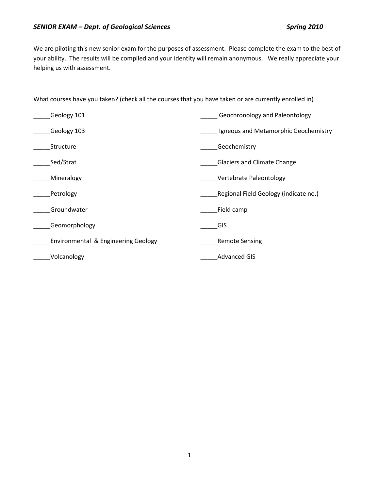We are piloting this new senior exam for the purposes of assessment. Please complete the exam to the best of your ability. The results will be compiled and your identity will remain anonymous. We really appreciate your helping us with assessment.

What courses have you taken? (check all the courses that you have taken or are currently enrolled in)

| Geology 101                                    | Geochronology and Paleontology        |
|------------------------------------------------|---------------------------------------|
| Geology 103                                    | Igneous and Metamorphic Geochemistry  |
| Structure                                      | Geochemistry                          |
| Sed/Strat                                      | <b>Glaciers and Climate Change</b>    |
| Mineralogy                                     | Vertebrate Paleontology               |
| Petrology                                      | Regional Field Geology (indicate no.) |
| Groundwater                                    | Field camp                            |
| Geomorphology                                  | GIS                                   |
| <b>Environmental &amp; Engineering Geology</b> | <b>Remote Sensing</b>                 |
| Volcanology                                    | <b>Advanced GIS</b>                   |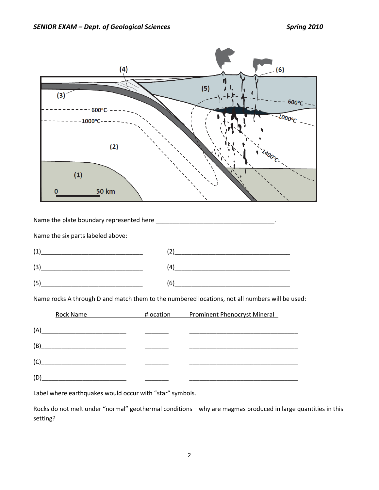

Label where earthquakes would occur with "star" symbols.

Rocks do not melt under "normal" geothermal conditions – why are magmas produced in large quantities in this setting?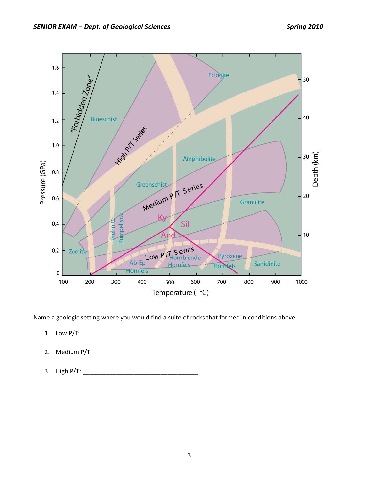

Name a geologic setting where you would find a suite of rocks that formed in conditions above.

- 1. Low P/T: \_\_\_\_\_\_\_\_\_\_\_\_\_\_\_\_\_\_\_\_\_\_\_\_\_\_\_\_\_\_\_\_\_\_
- 2. Medium P/T:
- 3. High P/T: \_\_\_\_\_\_\_\_\_\_\_\_\_\_\_\_\_\_\_\_\_\_\_\_\_\_\_\_\_\_\_\_\_\_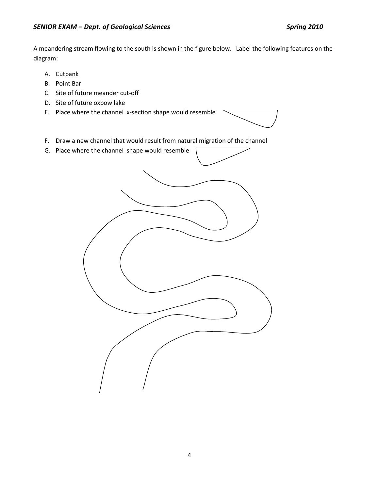A meandering stream flowing to the south is shown in the figure below. Label the following features on the diagram:

- A. Cutbank
- B. Point Bar
- C. Site of future meander cut-off
- D. Site of future oxbow lake
- E. Place where the channel x-section shape would resemble



- F. Draw a new channel that would result from natural migration of the channel
- G. Place where the channel shape would resemble

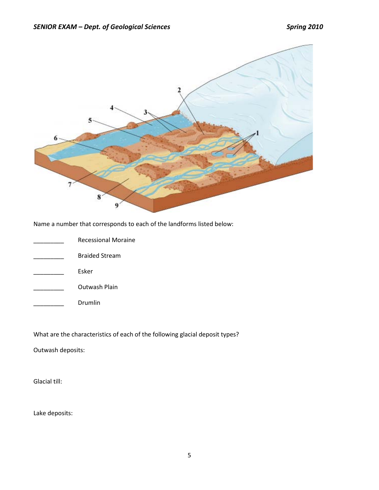

Name a number that corresponds to each of the landforms listed below:

| <b>Recessional Moraine</b> |
|----------------------------|
| <b>Braided Stream</b>      |
| Esker                      |
| Outwash Plain              |
| Drumlin                    |

What are the characteristics of each of the following glacial deposit types?

Outwash deposits:

Glacial till:

Lake deposits: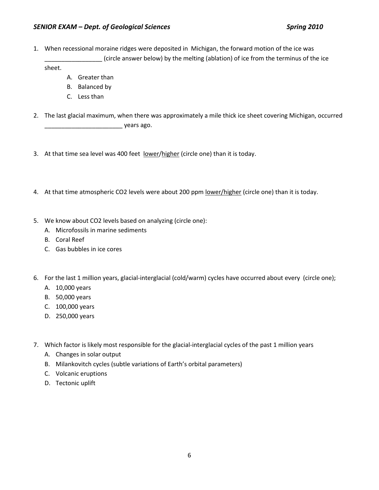1. When recessional moraine ridges were deposited in Michigan, the forward motion of the ice was (circle answer below) by the melting (ablation) of ice from the terminus of the ice

sheet.

- A. Greater than
- B. Balanced by
- C. Less than
- 2. The last glacial maximum, when there was approximately a mile thick ice sheet covering Michigan, occurred \_\_\_\_\_\_\_\_\_\_\_\_\_\_\_\_\_\_\_\_\_\_\_ years ago.
- 3. At that time sea level was 400 feet lower/higher (circle one) than it is today.
- 4. At that time atmospheric CO2 levels were about 200 ppm lower/higher (circle one) than it is today.
- 5. We know about CO2 levels based on analyzing (circle one):
	- A. Microfossils in marine sediments
	- B. Coral Reef
	- C. Gas bubbles in ice cores
- 6. For the last 1 million years, glacial-interglacial (cold/warm) cycles have occurred about every (circle one);
	- A. 10,000 years
	- B. 50,000 years
	- C. 100,000 years
	- D. 250,000 years
- 7. Which factor is likely most responsible for the glacial-interglacial cycles of the past 1 million years
	- A. Changes in solar output
	- B. Milankovitch cycles (subtle variations of Earth's orbital parameters)
	- C. Volcanic eruptions
	- D. Tectonic uplift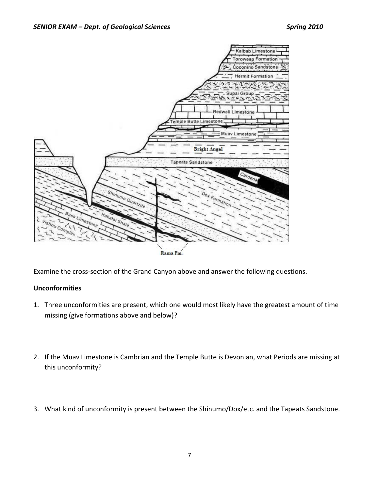

Examine the cross-section of the Grand Canyon above and answer the following questions.

# **Unconformities**

- 1. Three unconformities are present, which one would most likely have the greatest amount of time missing (give formations above and below)?
- 2. If the Muav Limestone is Cambrian and the Temple Butte is Devonian, what Periods are missing at this unconformity?
- 3. What kind of unconformity is present between the Shinumo/Dox/etc. and the Tapeats Sandstone.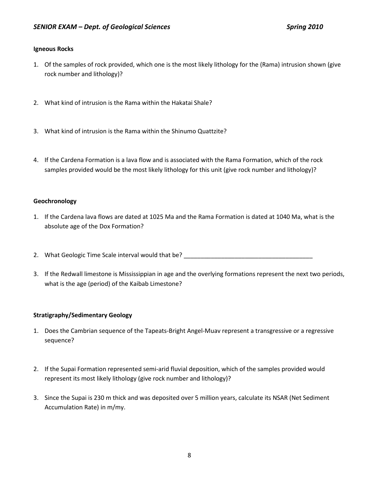### **Igneous Rocks**

- 1. Of the samples of rock provided, which one is the most likely lithology for the (Rama) intrusion shown (give rock number and lithology)?
- 2. What kind of intrusion is the Rama within the Hakatai Shale?
- 3. What kind of intrusion is the Rama within the Shinumo Quattzite?
- 4. If the Cardena Formation is a lava flow and is associated with the Rama Formation, which of the rock samples provided would be the most likely lithology for this unit (give rock number and lithology)?

### **Geochronology**

- 1. If the Cardena lava flows are dated at 1025 Ma and the Rama Formation is dated at 1040 Ma, what is the absolute age of the Dox Formation?
- 2. What Geologic Time Scale interval would that be? \_\_\_\_\_\_\_\_\_\_\_\_\_\_\_\_\_\_\_\_\_\_\_\_\_\_\_\_
- 3. If the Redwall limestone is Mississippian in age and the overlying formations represent the next two periods, what is the age (period) of the Kaibab Limestone?

### **Stratigraphy/Sedimentary Geology**

- 1. Does the Cambrian sequence of the Tapeats-Bright Angel-Muav represent a transgressive or a regressive sequence?
- 2. If the Supai Formation represented semi-arid fluvial deposition, which of the samples provided would represent its most likely lithology (give rock number and lithology)?
- 3. Since the Supai is 230 m thick and was deposited over 5 million years, calculate its NSAR (Net Sediment Accumulation Rate) in m/my.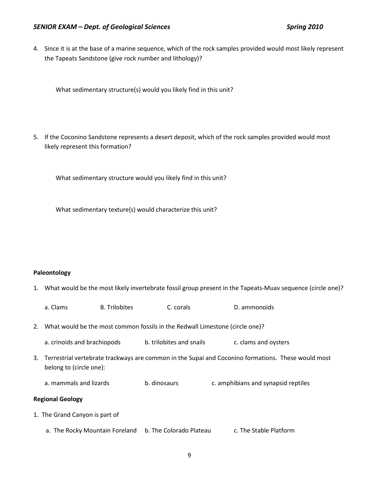### *SENIOR EXAM – Dept. of Geological Sciences Spring 2010*

4. Since it is at the base of a marine sequence, which of the rock samples provided would most likely represent the Tapeats Sandstone (give rock number and lithology)?

What sedimentary structure(s) would you likely find in this unit?

5. If the Coconino Sandstone represents a desert deposit, which of the rock samples provided would most likely represent this formation?

What sedimentary structure would you likely find in this unit?

What sedimentary texture(s) would characterize this unit?

#### **Paleontology**

- 1. What would be the most likely invertebrate fossil group present in the Tapeats-Muav sequence (circle one)?
	- a. Clams B. Trilobites C. corals D. ammonoids
- 2. What would be the most common fossils in the Redwall Limestone (circle one)?
	- a. crinoids and brachiopods b. trilobites and snails c. clams and oysters
- 3. Terrestrial vertebrate trackways are common in the Supai and Coconino formations. These would most belong to (circle one):
	- a. mammals and lizards b. dinosaurs c. amphibians and synapsid reptiles

#### **Regional Geology**

- 1. The Grand Canyon is part of
	- a. The Rocky Mountain Foreland b. The Colorado Plateau c. The Stable Platform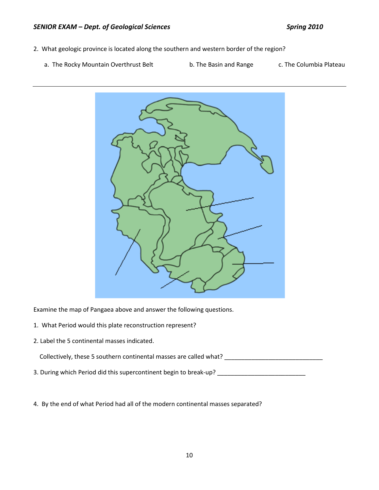- 2. What geologic province is located along the southern and western border of the region?
	- a. The Rocky Mountain Overthrust Belt b. The Basin and Range c. The Columbia Plateau



Examine the map of Pangaea above and answer the following questions.

- 1. What Period would this plate reconstruction represent?
- 2. Label the 5 continental masses indicated.

Collectively, these 5 southern continental masses are called what? \_\_\_\_\_\_\_\_\_\_\_\_\_\_\_\_\_\_\_\_\_\_\_\_\_\_\_\_\_\_\_\_\_

- 3. During which Period did this supercontinent begin to break-up? \_\_\_\_\_\_\_\_\_\_\_\_\_\_\_\_\_\_\_\_\_\_\_\_\_\_
- 4. By the end of what Period had all of the modern continental masses separated?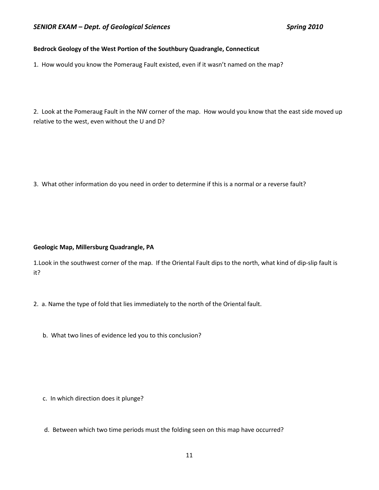### **Bedrock Geology of the West Portion of the Southbury Quadrangle, Connecticut**

1. How would you know the Pomeraug Fault existed, even if it wasn't named on the map?

2. Look at the Pomeraug Fault in the NW corner of the map. How would you know that the east side moved up relative to the west, even without the U and D?

3. What other information do you need in order to determine if this is a normal or a reverse fault?

#### **Geologic Map, Millersburg Quadrangle, PA**

1.Look in the southwest corner of the map. If the Oriental Fault dips to the north, what kind of dip-slip fault is it?

- 2. a. Name the type of fold that lies immediately to the north of the Oriental fault.
	- b. What two lines of evidence led you to this conclusion?

- c. In which direction does it plunge?
- d. Between which two time periods must the folding seen on this map have occurred?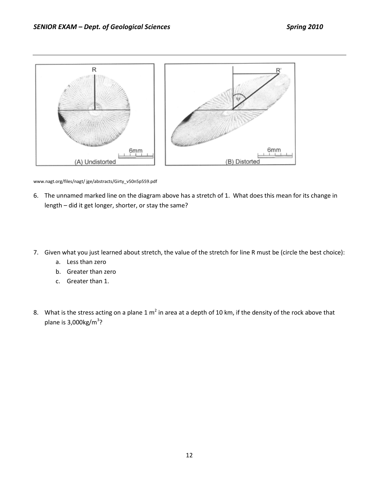

www.nagt.org/files/nagt/ jge/abstracts/Girty\_v50n5p559.pdf

- 6. The unnamed marked line on the diagram above has a stretch of 1. What does this mean for its change in length – did it get longer, shorter, or stay the same?
- 7. Given what you just learned about stretch, the value of the stretch for line R must be (circle the best choice):
	- a. Less than zero
	- b. Greater than zero
	- c. Greater than 1.
- 8. What is the stress acting on a plane  $1 \text{ m}^2$  in area at a depth of 10 km, if the density of the rock above that plane is 3,000kg/m<sup>3</sup>?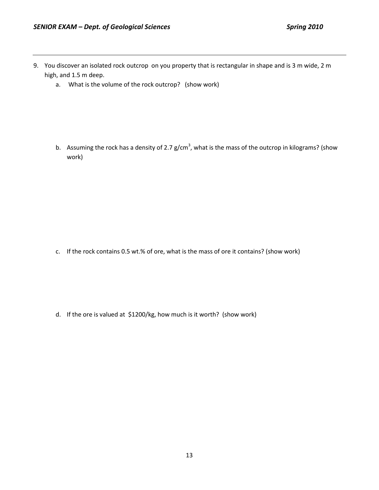- 9. You discover an isolated rock outcrop on you property that is rectangular in shape and is 3 m wide, 2 m high, and 1.5 m deep.
	- a. What is the volume of the rock outcrop? (show work)

b. Assuming the rock has a density of 2.7 g/cm<sup>3</sup>, what is the mass of the outcrop in kilograms? (show work)

c. If the rock contains 0.5 wt.% of ore, what is the mass of ore it contains? (show work)

d. If the ore is valued at \$1200/kg, how much is it worth? (show work)